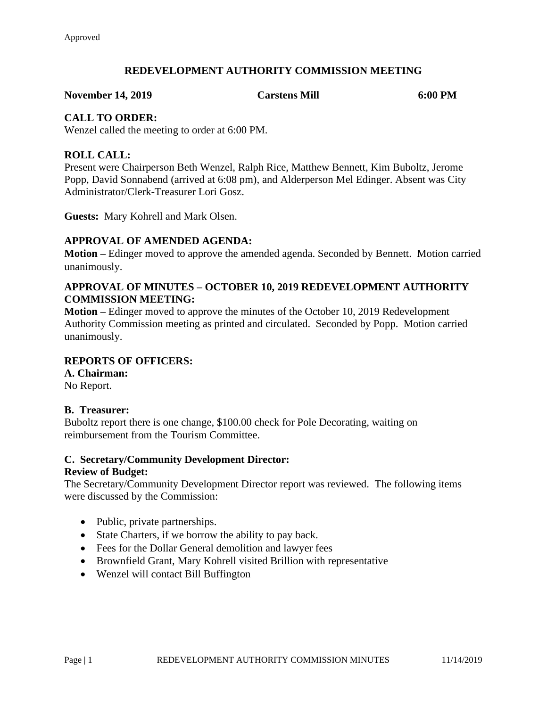# **REDEVELOPMENT AUTHORITY COMMISSION MEETING**

**November 14, 2019 Carstens Mill 6:00 PM**

# **CALL TO ORDER:**

Wenzel called the meeting to order at 6:00 PM.

# **ROLL CALL:**

Present were Chairperson Beth Wenzel, Ralph Rice, Matthew Bennett, Kim Buboltz, Jerome Popp, David Sonnabend (arrived at 6:08 pm), and Alderperson Mel Edinger. Absent was City Administrator/Clerk-Treasurer Lori Gosz.

**Guests:** Mary Kohrell and Mark Olsen.

# **APPROVAL OF AMENDED AGENDA:**

**Motion –** Edinger moved to approve the amended agenda. Seconded by Bennett. Motion carried unanimously.

# **APPROVAL OF MINUTES – OCTOBER 10, 2019 REDEVELOPMENT AUTHORITY COMMISSION MEETING:**

**Motion –** Edinger moved to approve the minutes of the October 10, 2019 Redevelopment Authority Commission meeting as printed and circulated. Seconded by Popp. Motion carried unanimously.

## **REPORTS OF OFFICERS:**

**A. Chairman:** No Report.

## **B. Treasurer:**

Buboltz report there is one change, \$100.00 check for Pole Decorating, waiting on reimbursement from the Tourism Committee.

#### **C. Secretary/Community Development Director: Review of Budget:**

The Secretary/Community Development Director report was reviewed. The following items were discussed by the Commission:

- Public, private partnerships.
- State Charters, if we borrow the ability to pay back.
- Fees for the Dollar General demolition and lawyer fees
- Brownfield Grant, Mary Kohrell visited Brillion with representative
- Wenzel will contact Bill Buffington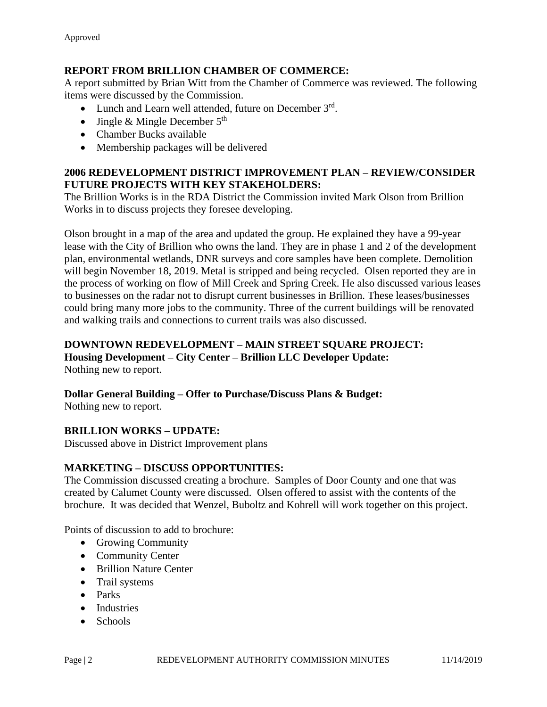# **REPORT FROM BRILLION CHAMBER OF COMMERCE:**

A report submitted by Brian Witt from the Chamber of Commerce was reviewed. The following items were discussed by the Commission.

- Lunch and Learn well attended, future on December 3rd.
- Jingle & Mingle December  $5<sup>th</sup>$
- Chamber Bucks available
- Membership packages will be delivered

# **2006 REDEVELOPMENT DISTRICT IMPROVEMENT PLAN – REVIEW/CONSIDER FUTURE PROJECTS WITH KEY STAKEHOLDERS:**

The Brillion Works is in the RDA District the Commission invited Mark Olson from Brillion Works in to discuss projects they foresee developing.

Olson brought in a map of the area and updated the group. He explained they have a 99-year lease with the City of Brillion who owns the land. They are in phase 1 and 2 of the development plan, environmental wetlands, DNR surveys and core samples have been complete. Demolition will begin November 18, 2019. Metal is stripped and being recycled. Olsen reported they are in the process of working on flow of Mill Creek and Spring Creek. He also discussed various leases to businesses on the radar not to disrupt current businesses in Brillion. These leases/businesses could bring many more jobs to the community. Three of the current buildings will be renovated and walking trails and connections to current trails was also discussed.

# **DOWNTOWN REDEVELOPMENT – MAIN STREET SQUARE PROJECT:**

**Housing Development – City Center – Brillion LLC Developer Update:** Nothing new to report.

# **Dollar General Building – Offer to Purchase/Discuss Plans & Budget:**

Nothing new to report.

# **BRILLION WORKS – UPDATE:**

Discussed above in District Improvement plans

# **MARKETING – DISCUSS OPPORTUNITIES:**

The Commission discussed creating a brochure. Samples of Door County and one that was created by Calumet County were discussed. Olsen offered to assist with the contents of the brochure. It was decided that Wenzel, Buboltz and Kohrell will work together on this project.

Points of discussion to add to brochure:

- Growing Community
- Community Center
- Brillion Nature Center
- Trail systems
- Parks
- Industries
- Schools